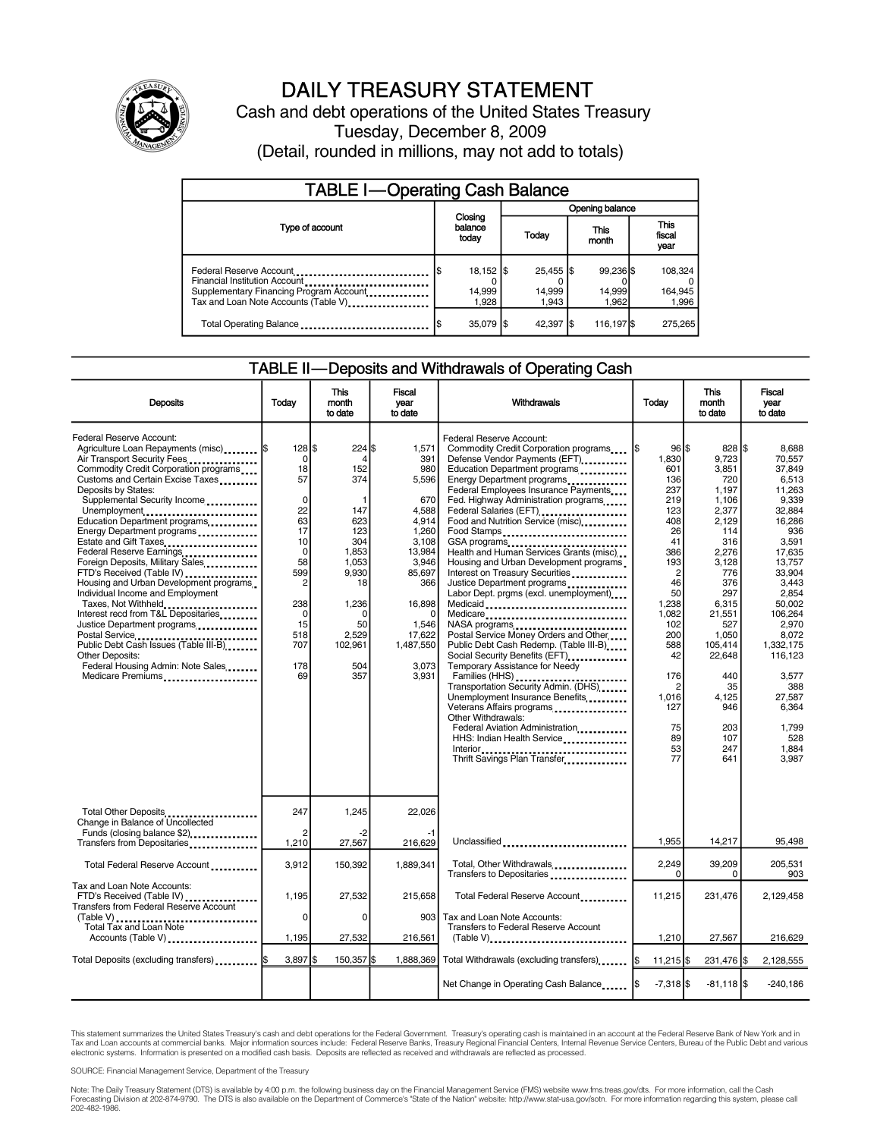

### DAILY TREASURY STATEMENT

Cash and debt operations of the United States Treasury Tuesday, December 8, 2009 (Detail, rounded in millions, may not add to totals)

| <b>TABLE I-Operating Cash Balance</b>                                                                                                       |                             |                      |                              |  |                              |  |                               |  |
|---------------------------------------------------------------------------------------------------------------------------------------------|-----------------------------|----------------------|------------------------------|--|------------------------------|--|-------------------------------|--|
|                                                                                                                                             | Closing<br>balance<br>today |                      | <b>Opening balance</b>       |  |                              |  |                               |  |
| Type of account                                                                                                                             |                             |                      | Today                        |  | This<br>month                |  | <b>This</b><br>fiscal<br>year |  |
| Federal Reserve Account<br>Financial Institution Account<br>Supplementary Financing Program Account<br>Tax and Loan Note Accounts (Table V) | 14,999                      | 18,152   \$<br>1.928 | 25,455 \$<br>14,999<br>1.943 |  | 99.236 \$<br>14,999<br>1.962 |  | 108.324<br>164,945<br>1,996   |  |
| Total Operating Balance                                                                                                                     | 35,079 \$                   |                      | 42,397 \$                    |  | 116,197 \$                   |  | 275.265                       |  |

#### TABLE II—Deposits and Withdrawals of Operating Cash

| <b>Deposits</b>                                                                                                                                                                                                                                                                                                                                                                                                                                                                                                                                                                                                                                                                                                                                                       | Todav                                                                                                                                                    | <b>This</b><br>month<br>to date                                                                                                                        | <b>Fiscal</b><br>year<br>to date                                                                                                                                               | Withdrawals                                                                                                                                                                                                                                                                                                                                                                                                                                                                                                                                                                                                                                                                                                                                                                                                                                                                                                                                                                     | Today                                                                                                                                                                                                                             | <b>This</b><br>month<br>to date                                                                                                                                                                                                           | <b>Fiscal</b><br>vear<br>to date                                                                                                                                                                                                                                              |
|-----------------------------------------------------------------------------------------------------------------------------------------------------------------------------------------------------------------------------------------------------------------------------------------------------------------------------------------------------------------------------------------------------------------------------------------------------------------------------------------------------------------------------------------------------------------------------------------------------------------------------------------------------------------------------------------------------------------------------------------------------------------------|----------------------------------------------------------------------------------------------------------------------------------------------------------|--------------------------------------------------------------------------------------------------------------------------------------------------------|--------------------------------------------------------------------------------------------------------------------------------------------------------------------------------|---------------------------------------------------------------------------------------------------------------------------------------------------------------------------------------------------------------------------------------------------------------------------------------------------------------------------------------------------------------------------------------------------------------------------------------------------------------------------------------------------------------------------------------------------------------------------------------------------------------------------------------------------------------------------------------------------------------------------------------------------------------------------------------------------------------------------------------------------------------------------------------------------------------------------------------------------------------------------------|-----------------------------------------------------------------------------------------------------------------------------------------------------------------------------------------------------------------------------------|-------------------------------------------------------------------------------------------------------------------------------------------------------------------------------------------------------------------------------------------|-------------------------------------------------------------------------------------------------------------------------------------------------------------------------------------------------------------------------------------------------------------------------------|
| Federal Reserve Account:<br>Agriculture Loan Repayments (misc)  \$<br>Air Transport Security Fees<br>Commodity Credit Corporation programs<br>Customs and Certain Excise Taxes<br>Deposits by States:<br>Supplemental Security Income<br>Unemployment<br>Education Department programs<br>Energy Department programs<br>Estate and Gift Taxes<br>Federal Reserve Earnings<br>Foreign Deposits, Military Sales<br>FTD's Received (Table IV)<br>Housing and Urban Development programs.<br>Individual Income and Employment<br>Taxes, Not Withheld<br>Interest recd from T&L Depositaries<br>Justice Department programs<br>Postal Service<br>Public Debt Cash Issues (Table III-B)<br><b>Other Deposits:</b><br>Federal Housing Admin: Note Sales<br>Medicare Premiums | $128$ \$<br>0<br>18<br>57<br>$\mathbf 0$<br>22<br>63<br>17<br>10<br>$\mathbf 0$<br>58<br>599<br>2<br>238<br>$\mathbf 0$<br>15<br>518<br>707<br>178<br>69 | 224<br>4<br>152<br>374<br>-1<br>147<br>623<br>123<br>304<br>1,853<br>1,053<br>9,930<br>18<br>1,236<br>$\Omega$<br>50<br>2,529<br>102,961<br>504<br>357 | 1,571<br>I\$<br>391<br>980<br>5,596<br>670<br>4,588<br>4,914<br>1,260<br>3,108<br>13,984<br>3,946<br>85,697<br>366<br>16,898<br>1,546<br>17,622<br>1,487,550<br>3.073<br>3,931 | Federal Reserve Account:<br>Commodity Credit Corporation programs<br>Defense Vendor Payments (EFT)<br>Education Department programs<br>Energy Department programs<br>Federal Employees Insurance Payments<br>Fed. Highway Administration programs<br>Federal Salaries (EFT)<br>Food and Nutrition Service (misc)<br>Food Stamps<br>GSA programs<br>Health and Human Services Grants (misc)<br>Housing and Urban Development programs<br>Interest on Treasury Securities<br>Justice Department programs<br>Labor Dept. prgms (excl. unemployment)<br>Medicaid<br>Medicare<br>NASA programs<br>Postal Service Money Orders and Other<br>Public Debt Cash Redemp. (Table III-B)<br>Social Security Benefits (EFT)<br>Temporary Assistance for Needy<br>Transportation Security Admin. (DHS)<br>Unemployment Insurance Benefits<br>Veterans Affairs programs<br>Other Withdrawals:<br>Federal Aviation Administration<br>HHS: Indian Health Service<br>Thrift Savings Plan Transfer | $96$ $$$<br>1,830<br>601<br>136<br>237<br>219<br>123<br>408<br>26<br>41<br>386<br>193<br>$\overline{2}$<br>46<br>50<br>1.238<br>1,082<br>102<br>200<br>588<br>42<br>176<br>$\overline{c}$<br>1,016<br>127<br>75<br>89<br>53<br>77 | 828 \$<br>9,723<br>3,851<br>720<br>1.197<br>1,106<br>2,377<br>2,129<br>114<br>316<br>2,276<br>3,128<br>776<br>376<br>297<br>6,315<br>21,551<br>527<br>1,050<br>105,414<br>22,648<br>440<br>35<br>4,125<br>946<br>203<br>107<br>247<br>641 | 8,688<br>70.557<br>37,849<br>6.513<br>11.263<br>9.339<br>32,884<br>16,286<br>936<br>3.591<br>17.635<br>13,757<br>33.904<br>3,443<br>2.854<br>50.002<br>106,264<br>2,970<br>8,072<br>1.332.175<br>116,123<br>3,577<br>388<br>27.587<br>6.364<br>1,799<br>528<br>1,884<br>3,987 |
| Total Other Deposits<br>Change in Balance of Uncollected                                                                                                                                                                                                                                                                                                                                                                                                                                                                                                                                                                                                                                                                                                              | 247                                                                                                                                                      | 1,245                                                                                                                                                  | 22,026                                                                                                                                                                         |                                                                                                                                                                                                                                                                                                                                                                                                                                                                                                                                                                                                                                                                                                                                                                                                                                                                                                                                                                                 |                                                                                                                                                                                                                                   |                                                                                                                                                                                                                                           |                                                                                                                                                                                                                                                                               |
| Funds (closing balance \$2)<br>Transfers from Depositaries                                                                                                                                                                                                                                                                                                                                                                                                                                                                                                                                                                                                                                                                                                            | $\overline{2}$<br>1.210                                                                                                                                  | -2<br>27,567                                                                                                                                           | 216,629                                                                                                                                                                        | Unclassified                                                                                                                                                                                                                                                                                                                                                                                                                                                                                                                                                                                                                                                                                                                                                                                                                                                                                                                                                                    | 1,955                                                                                                                                                                                                                             | 14,217                                                                                                                                                                                                                                    | 95,498                                                                                                                                                                                                                                                                        |
| Total Federal Reserve Account                                                                                                                                                                                                                                                                                                                                                                                                                                                                                                                                                                                                                                                                                                                                         | 3,912                                                                                                                                                    | 150,392                                                                                                                                                | 1.889.341                                                                                                                                                                      | Total, Other Withdrawals<br>Transfers to Depositaries                                                                                                                                                                                                                                                                                                                                                                                                                                                                                                                                                                                                                                                                                                                                                                                                                                                                                                                           | 2,249<br>0                                                                                                                                                                                                                        | 39,209<br>0                                                                                                                                                                                                                               | 205,531<br>903                                                                                                                                                                                                                                                                |
| Tax and Loan Note Accounts:<br>FTD's Received (Table IV)<br><b>Transfers from Federal Reserve Account</b><br>(Table V)                                                                                                                                                                                                                                                                                                                                                                                                                                                                                                                                                                                                                                                | 1.195<br>0                                                                                                                                               | 27,532<br>$\mathbf 0$                                                                                                                                  | 215.658<br>903                                                                                                                                                                 | Total Federal Reserve Account<br>Tax and Loan Note Accounts:                                                                                                                                                                                                                                                                                                                                                                                                                                                                                                                                                                                                                                                                                                                                                                                                                                                                                                                    | 11,215                                                                                                                                                                                                                            | 231,476                                                                                                                                                                                                                                   | 2.129.458                                                                                                                                                                                                                                                                     |
| <b>Total Tax and Loan Note</b><br>Accounts (Table V)                                                                                                                                                                                                                                                                                                                                                                                                                                                                                                                                                                                                                                                                                                                  | 1,195                                                                                                                                                    | 27,532                                                                                                                                                 | 216,561                                                                                                                                                                        | Transfers to Federal Reserve Account<br>$(Table V)$                                                                                                                                                                                                                                                                                                                                                                                                                                                                                                                                                                                                                                                                                                                                                                                                                                                                                                                             | 1,210                                                                                                                                                                                                                             | 27,567                                                                                                                                                                                                                                    | 216,629                                                                                                                                                                                                                                                                       |
| Total Deposits (excluding transfers)   \$                                                                                                                                                                                                                                                                                                                                                                                                                                                                                                                                                                                                                                                                                                                             | $3.897$ S                                                                                                                                                | 150,357 \$                                                                                                                                             | 1,888,369                                                                                                                                                                      | Total Withdrawals (excluding transfers) [\$                                                                                                                                                                                                                                                                                                                                                                                                                                                                                                                                                                                                                                                                                                                                                                                                                                                                                                                                     | 11,215                                                                                                                                                                                                                            | 231,476 \$                                                                                                                                                                                                                                | 2,128,555                                                                                                                                                                                                                                                                     |
|                                                                                                                                                                                                                                                                                                                                                                                                                                                                                                                                                                                                                                                                                                                                                                       |                                                                                                                                                          |                                                                                                                                                        |                                                                                                                                                                                |                                                                                                                                                                                                                                                                                                                                                                                                                                                                                                                                                                                                                                                                                                                                                                                                                                                                                                                                                                                 | $-7,318$ \$                                                                                                                                                                                                                       | $-81,118$ $\sqrt{5}$                                                                                                                                                                                                                      | $-240,186$                                                                                                                                                                                                                                                                    |

This statement summarizes the United States Treasury's cash and debt operations for the Federal Government. Treasury's operating cash is maintained in an account at the Federal Reserve Bank of New York and in<br>Tax and Loan

SOURCE: Financial Management Service, Department of the Treasury

Note: The Daily Treasury Statement (DTS) is available by 4:00 p.m. the following business day on the Financial Management Service (FMS) website www.fms.treas.gov/dts. For more information, call the Cash Forecasting Division at 202-874-9790. The DTS is also available on the Department of Commerce's "State of the Nation" website: http://www.stat-usa.gov/sotn. For more information regarding this system, please call<br>202-482-1